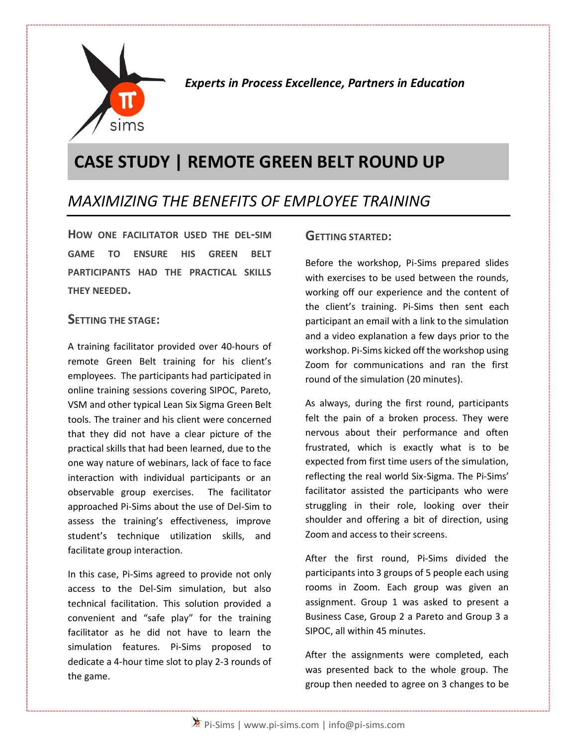

*Experts in Process Excellence, Partners in Education*

# **CASE STUDY | REMOTE GREEN BELT ROUND UP**

## *MAXIMIZING THE BENEFITS OF EMPLOYEE TRAINING*

**HOW ONE FACILITATOR USED THE DEL-SIM GAME TO ENSURE HIS GREEN BELT PARTICIPANTS HAD THE PRACTICAL SKILLS THEY NEEDED.**

#### **SETTING THE STAGE:**

A training facilitator provided over 40-hours of remote Green Belt training for his client's employees. The participants had participated in online training sessions covering SIPOC, Pareto, VSM and other typical Lean Six Sigma Green Belt tools. The trainer and his client were concerned that they did not have a clear picture of the practical skills that had been learned, due to the one way nature of webinars, lack of face to face interaction with individual participants or an observable group exercises. The facilitator approached Pi-Sims about the use of Del-Sim to assess the training's effectiveness, improve student's technique utilization skills, and facilitate group interaction.

In this case, Pi-Sims agreed to provide not only access to the Del-Sim simulation, but also technical facilitation. This solution provided a convenient and "safe play" for the training facilitator as he did not have to learn the simulation features. Pi-Sims proposed to dedicate a 4-hour time slot to play 2-3 rounds of the game.

#### **GETTING STARTED:**

Before the workshop, Pi-Sims prepared slides with exercises to be used between the rounds, working off our experience and the content of the client's training. Pi-Sims then sent each participant an email with a link to the simulation and a video explanation a few days prior to the workshop. Pi-Sims kicked off the workshop using Zoom for communications and ran the first round of the simulation (20 minutes).

As always, during the first round, participants felt the pain of a broken process. They were nervous about their performance and often frustrated, which is exactly what is to be expected from first time users of the simulation, reflecting the real world Six-Sigma. The Pi-Sims' facilitator assisted the participants who were struggling in their role, looking over their shoulder and offering a bit of direction, using Zoom and access to their screens.

After the first round, Pi-Sims divided the participants into 3 groups of 5 people each using rooms in Zoom. Each group was given an assignment. Group 1 was asked to present a Business Case, Group 2 a Pareto and Group 3 a SIPOC, all within 45 minutes.

After the assignments were completed, each was presented back to the whole group. The group then needed to agree on 3 changes to be

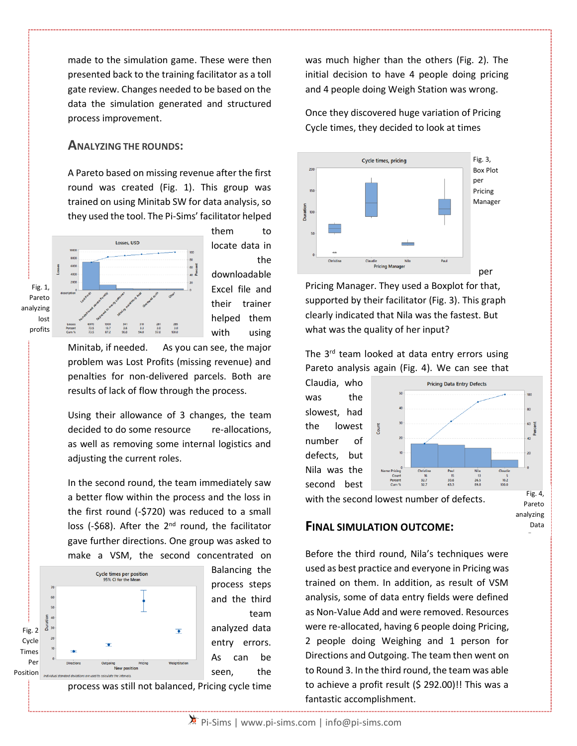made to the simulation game. These were then presented back to the training facilitator as a toll gate review. Changes needed to be based on the data the simulation generated and structured process improvement.

#### **ANALYZING THE ROUNDS:**

A Pareto based on missing revenue after the first round was created (Fig. 1). This group was trained on using Minitab SW for data analysis, so they used the tool. The Pi-Sims' facilitator helped



them to locate data in the downloadable Excel file and their trainer helped them with using

Minitab, if needed. As you can see, the major problem was Lost Profits (missing revenue) and penalties for non-delivered parcels. Both are results of lack of flow through the process.

Using their allowance of 3 changes, the team decided to do some resource re-allocations, as well as removing some internal logistics and adjusting the current roles.

In the second round, the team immediately saw a better flow within the process and the loss in the first round (-\$720) was reduced to a small loss (-\$68). After the 2<sup>nd</sup> round, the facilitator gave further directions. One group was asked to make a VSM, the second concentrated on



Balancing the process steps and the third team analyzed data entry errors. As can be seen, the

process was still not balanced, Pricing cycle time

was much higher than the others (Fig. 2). The initial decision to have 4 people doing pricing and 4 people doing Weigh Station was wrong.

Once they discovered huge variation of Pricing Cycle times, they decided to look at times



Pricing Manager. They used a Boxplot for that, supported by their facilitator (Fig. 3). This graph clearly indicated that Nila was the fastest. But what was the quality of her input?

The 3<sup>rd</sup> team looked at data entry errors using Pareto analysis again (Fig. 4). We can see that

Claudia, who **Pricing Data Entry Defects** was the slowest, had the lowest number of defects, but Nila was the  $\frac{15}{30.6}$  $\frac{13}{26.5}$  $\begin{array}{c} 10 \\ 32.7 \\ 32.7 \end{array}$  $10.2$ second best Fig. 4, with the second lowest number of defects. Pareto

> analyzing Data

#### **FINAL SIMULATION OUTCOME:**

Before the third round, Nila's techniques were used as best practice and everyone in Pricing was trained on them. In addition, as result of VSM analysis, some of data entry fields were defined as Non-Value Add and were removed. Resources were re-allocated, having 6 people doing Pricing, 2 people doing Weighing and 1 person for Directions and Outgoing. The team then went on to Round 3. In the third round, the team was able to achieve a profit result (\$ 292.00)!! This was a fantastic accomplishment.